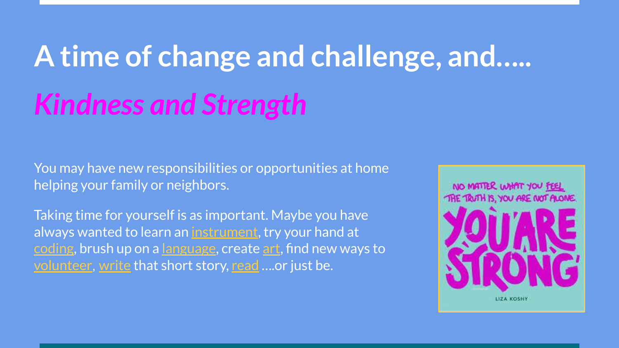## **A time of change and challenge, and…..** *Kindness and Strength*

You may have new responsibilities or opportunities at home helping your family or neighbors.

Taking time for yourself is as important. Maybe you have always wanted to learn an [instrument](https://www.youtube.com/watch?v=AXnVp2zLTYY), try your hand at [coding,](https://www.codecademy.com/) brush up on a [language](https://www.duolingo.com/), create [art](https://www.svslearn.com/), find new ways to [volunteer](#page-6-0), [write](https://www.coursera.org/specializations/creative-writing) that short story, [read](https://www.audible.com/ep/students) ….or just be.

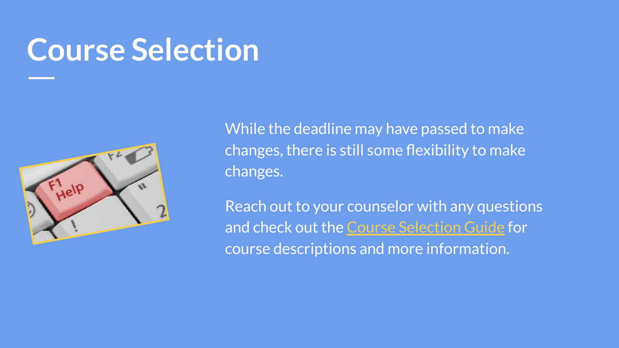### **Course Selection**



While the deadline may have passed to make changes, there is still some flexibility to make changes.

Reach out to your counselor with any questions and check out the [Course Selection Guide](https://www.hatboro-horsham.org/site/handlers/filedownload.ashx?moduleinstanceid=1293&dataid=4413&FileName=CSG%202020-21.pdf) for course descriptions and more information.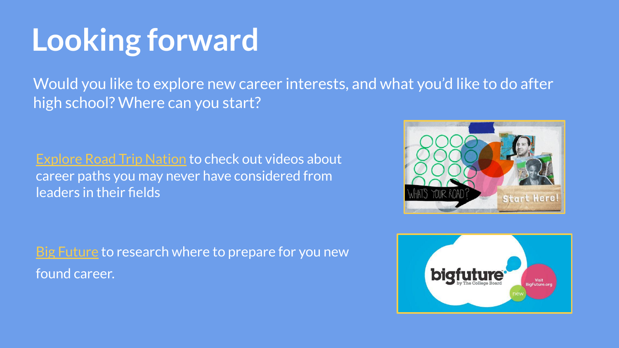## **Looking forward**

Would you like to explore new career interests, and what you'd like to do after high school? Where can you start?

[Explore Road Trip Nation](https://student.naviance.com/careers/roadtripnation) to check out videos about career paths you may never have considered from leaders in their fields

[Big Future](https://bigfuture.collegeboard.org/) to research where to prepare for you new found career.



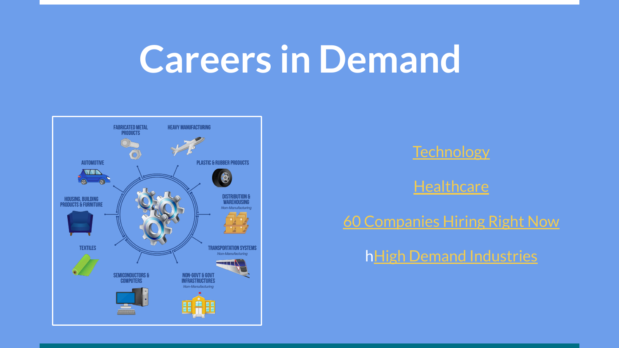## **Careers in Demand**



**[Technology](https://insights.dice.com/2020/03/27/31-technology-job-positions-hiring-during-the-covid-19-crisis/)** 

**[Healthcare](https://www.linkedin.com/pulse/hiring-crisis-health-care-job-postings-spike-35-george-anders/)** 

[60 Companies Hiring Right Now](https://www.glassdoor.com/blog/companies-hiring-to-address-covid-19/)

h**[High Demand Industries](http://www.forbes.com/sites/ashleystahl/2020/04/01/4-industries-who-are-still-hiring-in-the-midst-of-covid-19/#5394bb7e15ee)**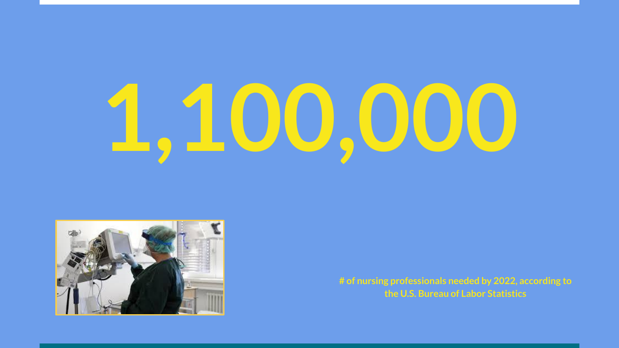# **1,100,000**



**# of nursing professionals needed by 2022, according to the U.S. Bureau of Labor Statistics**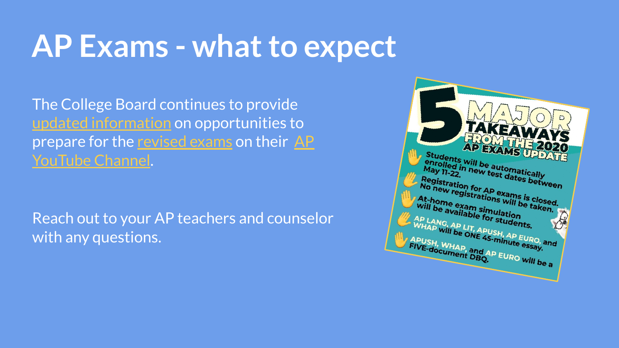### **AP Exams - what to expect**

The College Board continues to provide [updated information](https://apcoronavirusupdates.collegeboard.org/students) on opportunities to prepare for the [revised exams](https://apcoronavirusupdates.collegeboard.org/students/taking-ap-exams/ap-exam-schedule) on their [AP](https://nam04.safelinks.protection.outlook.com/?url=https%3A%2F%2Fclick.e.collegeboard.org%2F%3Fqs%3D08d645feb4f6b7a26798490504d71a8340ba5789cceddadd74b051718647bb644e8da875003c7ba9e136bc311f308011b085fa276d23ca62&data=01%7C01%7Cssoricel%40hatboro-horsham.org%7Ca80433b57360482b283708d7d4c8a7c2%7Cb18d88561f804acaa208dd9cd6ccc3ca%7C0&sdata=6bofhxqONlUmvdPAmqgPOv4HSyVc2wqZKi0yubwyxBM%3D&reserved=0) [YouTube Channel.](https://nam04.safelinks.protection.outlook.com/?url=https%3A%2F%2Fclick.e.collegeboard.org%2F%3Fqs%3D08d645feb4f6b7a26798490504d71a8340ba5789cceddadd74b051718647bb644e8da875003c7ba9e136bc311f308011b085fa276d23ca62&data=01%7C01%7Cssoricel%40hatboro-horsham.org%7Ca80433b57360482b283708d7d4c8a7c2%7Cb18d88561f804acaa208dd9cd6ccc3ca%7C0&sdata=6bofhxqONlUmvdPAmqgPOv4HSyVc2wqZKi0yubwyxBM%3D&reserved=0)

Reach out to your AP teachers and counselor with any questions.